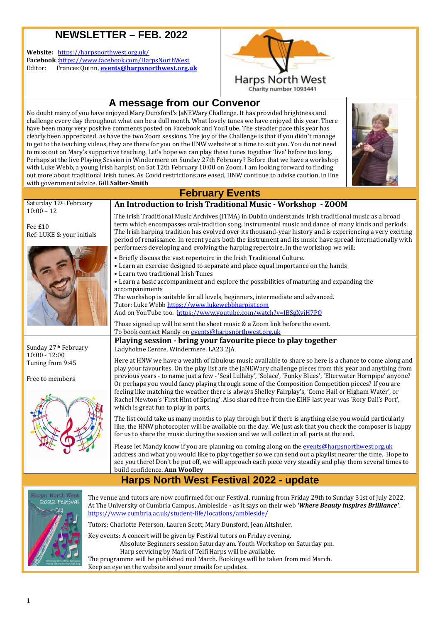### **NEWSLETTER – FEB. 2022 .**

**Website:** https://harpsnorthwest.org.uk/ **Facebook :**https://www.facebook.com/HarpsNorthWest Editor: Frances Quinn, **events@harpsnorthwest.org.uk**



Charity number 1093441

## **A message from our Convenor**

No doubt many of you have enjoyed Mary Dunsford's JaNEWary Challenge. It has provided brightness and challenge every day throughout what can be a dull month. What lovely tunes we have enjoyed this year. There have been many very positive comments posted on Facebook and YouTube. The steadier pace this year has clearly been appreciated, as have the two Zoom sessions. The joy of the Challenge is that if you didn't manage to get to the teaching videos, they are there for you on the HNW website at a time to suit you. You do not need to miss out on Mary's supportive teaching. Let's hope we can play these tunes together 'live' before too long. Perhaps at the live Playing Session in Windermere on Sunday 27th February? Before that we have a workshop with Luke Webb, a young Irish harpist, on Sat 12th February 10:00 on Zoom. I am looking forward to finding out more about traditional Irish tunes. As Covid restrictions are eased, HNW continue to advise caution, in line with government advice. **Gill Salter-Smith**



### **February Events**

#### Saturday 12th February 10:00 – 12 Fee £10 Ref: LUKE & your initials **An Introduction to Irish Traditional Music Music - Workshop - ZOOM**  The Irish Traditional Music Archives (ITMA) in Dublin understands Irish traditional music as a broad term which encompasses oral-tradition song, instrumental music and dance of many kinds and periods. The Irish harping tradition has evolved over its thousand-year history and is experiencing a very exciting period of renaissance. In recent years both the instrument and its music have spread internationally with performers developing and evolving the harping repertoire. In the workshop we will: • Briefly discuss the vast repertoire in the Irish Traditional Culture. • Learn an exercise designed to separate and place equal importance on the hands • Learn two traditional Irish Tunes • Learn a basic accompaniment and explore the possibilities of maturing and ex accompaniments The workshop is suitable for all levels, beginners, intermediate and advanced advanced. Tutor: Luke Webb https://www.lukewebbharpist.com And on YouTube too. https://www.youtube.com/watch?v=IBSgXyiH7PQ Those signed up will be sent the sheet music & a Zoom link before the event. To book contact Mandy on <u>events@harpsnorthwest.org.uk</u> Sunday 27th February 10:00 - 12:00 Tuning from 9:45 **Playing session - bring your favourite piece to play together** Ladyholme Centre, Windermere. LA23 2JA Here at HNW we have a wealth of fabulous music available to share so here is a chance to come along and play your favourites. On the play list are the JaNEWary challenge pieces from this year and anything from tradition song, instrumental music and dance of many kinds a<br>evolved over its thousand-year history and is experiencing a<br>t years both the instrument and its music have spread interna<br>plving the harping repertoire. In the

Free to members



previous years - - to name just a few - 'Seal Lullaby', 'Solace', 'Funky Blues s', 'Elterwater Hornpipe' anyone? Or perhaps you would fancy playing through some of the Composition Competition pieces? If you are feeling like matching the weather there is always Shelley Fairplay's, 'Come Hail or Higham Wate Water', or Rachel Newton's 'First Hint of Spring'. Also shared free from the EIHF last year was 'Rory Dall's Port', which is great fun to play in parts.

The list could take us many months to play through but if there is anything else you would particularly like, the HNW photocopier photocopier will be available on the day. We just ask that you check the composer is happy for us to share the music during the session and we will collect in all parts at the end.

Please let Mandy know if you are planning on coming along on the <u>events@harpsnorthwest.org.uk</u> address and what you would like to play together so we can send out a playlist nearer the time. Hope to see you there! Don't be put off, we will approach each piece very steadily and play them several times to build confidence. **Ann Woolley**

### **Harps North West Festival 2022 2022 - update**



The venue and tutors are now confirmed for our Festival, running from Friday 29th to Sunday 31st of July 2022. At The University of Cumbria Campus, Ambleside - as it says on their web *'Where Beauty inspires Brilliance'*. https://www.cumbria.ac.uk/student https://www.cumbria.ac.uk/student-life/locations/ambleside/

Tutors: Charlotte Peterson, Lauren Scott, Mary Dunsford, Jean Altshuler.

Key events: A concert will be given by Festival tutors on Friday evening. Absolute Beginners se session Saturday am. Youth Workshop on Saturday pm urday pm.

 Harp servicing by Mark of Teifi Harps will be available. The programme will be published mid March. Bookings will be taken from mid March. Keep an eye on the website and your emails for updates.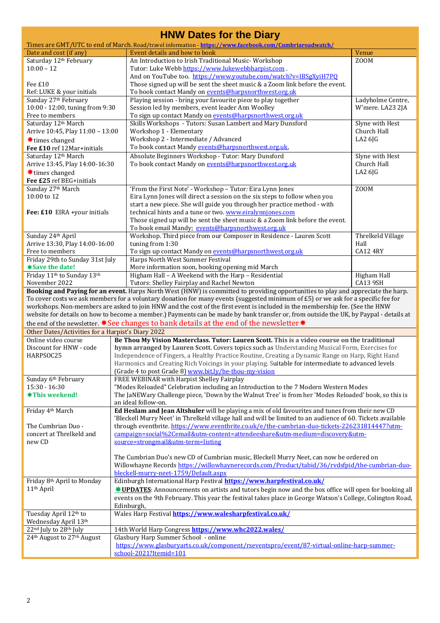| <b>HNW Dates for the Diary</b>                                                                                               |                                                                                                                                                                                                                 |                   |  |  |
|------------------------------------------------------------------------------------------------------------------------------|-----------------------------------------------------------------------------------------------------------------------------------------------------------------------------------------------------------------|-------------------|--|--|
|                                                                                                                              | Times are GMT/UTC to end of March. Road/travel information - https://www.facebook.com/Cumbriaroadwatch/                                                                                                         |                   |  |  |
| Date and cost (if any)                                                                                                       | Event details and how to book                                                                                                                                                                                   | Venue             |  |  |
| Saturday 12th February<br>$10:00 - 12$                                                                                       | An Introduction to Irish Traditional Music-Workshop                                                                                                                                                             | Z00M              |  |  |
|                                                                                                                              | Tutor: Luke Webb https://www.lukewebbharpist.com.<br>And on YouTube too. https://www.youtube.com/watch?v=IBSgXyiH7PQ                                                                                            |                   |  |  |
| Fee £10                                                                                                                      | Those signed up will be sent the sheet music & a Zoom link before the event.                                                                                                                                    |                   |  |  |
| Ref: LUKE & your initials                                                                                                    | To book contact Mandy on events@harpsnorthwest.org.uk                                                                                                                                                           |                   |  |  |
| Sunday 27th February                                                                                                         | Playing session - bring your favourite piece to play together                                                                                                                                                   | Ladyholme Centre, |  |  |
| 10:00 - 12:00, tuning from 9:30                                                                                              | Session led by members, event leader Ann Woolley                                                                                                                                                                | W'mere. LA23 2JA  |  |  |
| Free to members                                                                                                              | To sign up contact Mandy on events@harpsnorthwest.org.uk                                                                                                                                                        |                   |  |  |
| Saturday 12th March                                                                                                          | Skills Workshops - Tutors: Susan Lambert and Mary Dunsford                                                                                                                                                      | Slyne with Hest   |  |  |
| Arrive 10:45, Play 11:00 - 13:00                                                                                             | Workshop 1 - Elementary                                                                                                                                                                                         | Church Hall       |  |  |
| <b><math>★</math></b> times changed                                                                                          | Workshop 2 - Intermediate / Advanced                                                                                                                                                                            | LA26JG            |  |  |
| Fee £10 ref 12Mar+initials                                                                                                   | To book contact Mandy events@harpsnorthwest.org.uk,                                                                                                                                                             |                   |  |  |
| Saturday 12th March                                                                                                          | Absolute Beginners Workshop - Tutor: Mary Dunsford                                                                                                                                                              | Slyne with Hest   |  |  |
| Arrive 13:45, Play 14:00-16:30                                                                                               | To book contact Mandy on events@harpsnorthwest.org.uk                                                                                                                                                           | Church Hall       |  |  |
| <b><math>★</math></b> times changed                                                                                          |                                                                                                                                                                                                                 | LA2 6JG           |  |  |
| Fee £25 ref BEG+initials                                                                                                     |                                                                                                                                                                                                                 |                   |  |  |
| Sunday 27th March                                                                                                            | 'From the First Note' - Workshop - Tutor: Eira Lynn Jones                                                                                                                                                       | Z00M              |  |  |
| 10:00 to 12                                                                                                                  | Eira Lynn Jones will direct a session on the six steps to follow when you                                                                                                                                       |                   |  |  |
|                                                                                                                              | start a new piece. She will guide you through her practice method - with                                                                                                                                        |                   |  |  |
| Fee: £10 EIRA +your initials                                                                                                 | technical hints and a tune or two. www.eiralynnjones.com                                                                                                                                                        |                   |  |  |
|                                                                                                                              | Those signed up will be sent the sheet music & a Zoom link before the event.                                                                                                                                    |                   |  |  |
|                                                                                                                              | To book email Mandy; events@harpsnorthwest.org.uk                                                                                                                                                               |                   |  |  |
| Sunday 24th April                                                                                                            | Workshop. Third piece from our Composer in Residence - Lauren Scott                                                                                                                                             | Threlkeld Village |  |  |
| Arrive 13:30, Play 14:00-16:00                                                                                               | tuning from 1:30                                                                                                                                                                                                | Hall              |  |  |
| Free to members                                                                                                              | To sign up contact Mandy on events@harpsnorthwest.org.uk<br>Harps North West Summer Festival                                                                                                                    | <b>CA12 4RY</b>   |  |  |
| Friday 29th to Sunday 31st July<br>*Save the date!                                                                           | More information soon, booking opening mid March                                                                                                                                                                |                   |  |  |
| Friday 11 <sup>th</sup> to Sunday 13 <sup>th</sup>                                                                           | Higham Hall - A Weekend with the Harp - Residential                                                                                                                                                             | Higham Hall       |  |  |
| November 2022                                                                                                                | Tutors: Shelley Fairplay and Rachel Newton                                                                                                                                                                      | CA13 9SH          |  |  |
|                                                                                                                              | Booking and Paying for an event. Harps North West (HNW) is committed to providing opportunities to play and appreciate the harp.                                                                                |                   |  |  |
|                                                                                                                              | To cover costs we ask members for a voluntary donation for many events (suggested minimum of £5) or we ask for a specific fee for                                                                               |                   |  |  |
| workshops. Non-members are asked to join HNW and the cost of the first event is included in the membership fee. (See the HNW |                                                                                                                                                                                                                 |                   |  |  |
|                                                                                                                              | website for details on how to become a member.) Payments can be made by bank transfer or, from outside the UK, by Paypal - details at                                                                           |                   |  |  |
| the end of the newsletter. *See changes to bank details at the end of the newsletter*                                        |                                                                                                                                                                                                                 |                   |  |  |
| Other Dates/Activities for a Harpist's Diary 2022                                                                            |                                                                                                                                                                                                                 |                   |  |  |
| Online video course                                                                                                          | Be Thou My Vision Masterclass. Tutor: Lauren Scott. This is a video course on the traditional                                                                                                                   |                   |  |  |
| Discount for HNW - code                                                                                                      | hymn arranged by Lauren Scott. Covers topics such as Understanding Musical Form, Exercises for                                                                                                                  |                   |  |  |
| HARPSOC25                                                                                                                    | Independence of Fingers, a Healthy Practice Routine, Creating a Dynamic Range on Harp, Right Hand                                                                                                               |                   |  |  |
|                                                                                                                              | Harmonics and Creating Rich Voicings in your playing. Suitable for intermediate to advanced levels                                                                                                              |                   |  |  |
|                                                                                                                              | (Grade 4 to post Grade 8) www.bit.ly/be-thou-my-vision                                                                                                                                                          |                   |  |  |
| Sunday 6th February                                                                                                          | FREE WEBINAR with Harpist Shelley Fairplay                                                                                                                                                                      |                   |  |  |
| 15:30 - 16:30                                                                                                                | "Modes Reloaded" Celebration including an Introduction to the 7 Modern Western Modes                                                                                                                            |                   |  |  |
| <b>*This weekend!</b>                                                                                                        | The JaNEWary Challenge piece, 'Down by the Walnut Tree' is from her 'Modes Reloaded' book, so this is                                                                                                           |                   |  |  |
|                                                                                                                              | an ideal follow-on.                                                                                                                                                                                             |                   |  |  |
| Friday 4th March                                                                                                             | Ed Heslam and Jean Altshuler will be playing a mix of old favourites and tunes from their new CD<br>'Bleckell Murry Neet' in Threlkeld village hall and will be limited to an audience of 60. Tickets available |                   |  |  |
| The Cumbrian Duo -                                                                                                           |                                                                                                                                                                                                                 |                   |  |  |
| concert at Threlkeld and                                                                                                     | through eventbrite. https://www.eventbrite.co.uk/e/the-cumbrian-duo-tickets-226231814447?utm-<br>campaign=social%2Cemail&utm-content=attendeeshare&utm-medium=discovery&utm-                                    |                   |  |  |
| new CD                                                                                                                       | source=strongmail&utm-term=listing                                                                                                                                                                              |                   |  |  |
|                                                                                                                              |                                                                                                                                                                                                                 |                   |  |  |
|                                                                                                                              | The Cumbrian Duo's new CD of Cumbrian music, Bleckell Murry Neet, can now be ordered on                                                                                                                         |                   |  |  |
|                                                                                                                              | Willowhayne Records https://willowhaynerecords.com/Product/tabid/36/rvdsfpid/the-cumbrian-duo-                                                                                                                  |                   |  |  |
|                                                                                                                              | bleckell-murry-neet-1759/Default.aspx                                                                                                                                                                           |                   |  |  |
| Friday 8th April to Monday                                                                                                   | Edinburgh International Harp Festival https://www.harpfestival.co.uk/                                                                                                                                           |                   |  |  |
| 11 <sup>th</sup> April                                                                                                       | * UPDATES: Announcements on artists and tutors begin now and the box office will open for booking all                                                                                                           |                   |  |  |
|                                                                                                                              | events on the 9th February. This year the festival takes place in George Watson's College, Colington Road,                                                                                                      |                   |  |  |
|                                                                                                                              | Edinburgh,                                                                                                                                                                                                      |                   |  |  |
| Tuesday April 12th to                                                                                                        | Wales Harp Festival https://www.walesharpfestival.co.uk/                                                                                                                                                        |                   |  |  |
| Wednesday April 13th                                                                                                         |                                                                                                                                                                                                                 |                   |  |  |
| 22nd July to 28th July                                                                                                       | 14th World Harp Congress https://www.whc2022.wales/                                                                                                                                                             |                   |  |  |
| 24 <sup>th</sup> August to 27 <sup>th</sup> August                                                                           | Glasbury Harp Summer School - online                                                                                                                                                                            |                   |  |  |
|                                                                                                                              | https://www.glasburyarts.co.uk/component/rseventspro/event/87-virtual-online-harp-summer-                                                                                                                       |                   |  |  |
|                                                                                                                              | school-2021?Itemid=101                                                                                                                                                                                          |                   |  |  |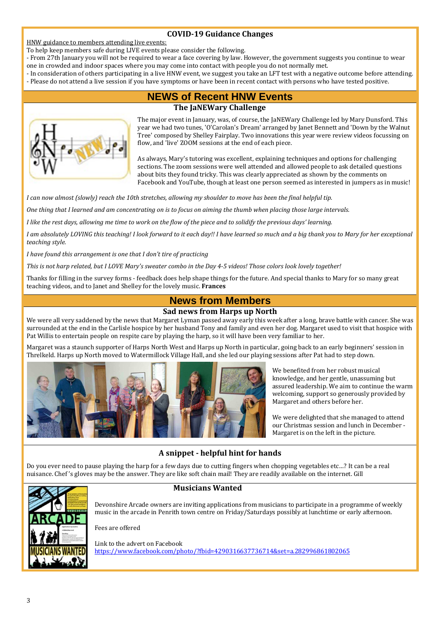### **COVID-19 Guidance Changes**

HNW guidance to members attending live events:

To help keep members safe during LIVE events please consider the following.

- From 27th January you will not be required to wear a face covering by law. However, the government suggests you continue to wear one in crowded and indoor spaces where you may come into contact with people you do not normally met.
- In consideration of others participating in a live HNW event, we suggest you take an LFT test with a negative outcome before attending. - Please do not attend a live session if you have symptoms or have been in recent contact with persons who have tested positive.
	-

## **NEWS of Recent HNW Events**

### **The JaNEWary Challenge**



The major event in January, was, of course, the JaNEWary Challenge led by Mary Dunsford. This year we had two tunes, 'O'Carolan's Dream' arranged by Janet Bennett and 'Down by the Walnut Tree' composed by Shelley Fairplay. Two innovations this year were review videos focussing on flow, and 'live' ZOOM sessions at the end of each piece.

As always, Mary's tutoring was excellent, explaining techniques and options for challenging sections. The zoom sessions were well attended and allowed people to ask detailed questions about bits they found tricky. This was clearly appreciated as shown by the comments on Facebook and YouTube, though at least one person seemed as interested in jumpers as in music!

*I can now almost (slowly) reach the 10th stretches, allowing my shoulder to move has been the final helpful tip.* 

*One thing that I learned and am concentrating on is to focus on aiming the thumb when placing those large intervals.* 

*I like the rest days, allowing me time to work on the flow of the piece and to solidify the previous days' learning.* 

*I am absolutely LOVING this teaching! I look forward to it each day!! I have learned so much and a big thank you to Mary for her exceptional teaching style.* 

*I have found this arrangement is one that I don't tire of practicing* 

*This is not harp related, but I LOVE Mary's sweater combo in the Day 4-5 videos! Those colors look lovely together!* 

Thanks for filling in the survey forms - feedback does help shape things for the future. And special thanks to Mary for so many great teaching videos, and to Janet and Shelley for the lovely music. **Frances**

### **News from Members**

### **Sad news from Harps up North**

We were all very saddened by the news that Margaret Lyman passed away early this week after a long, brave battle with cancer. She was surrounded at the end in the Carlisle hospice by her husband Tony and family and even her dog. Margaret used to visit that hospice with Pat Willis to entertain people on respite care by playing the harp, so it will have been very familiar to her.

Margaret was a staunch supporter of Harps North West and Harps up North in particular, going back to an early beginners' session in Threlkeld. Harps up North moved to Watermillock Village Hall, and she led our playing sessions after Pat had to step down.



We benefited from her robust musical knowledge, and her gentle, unassuming but assured leadership. We aim to continue the warm welcoming, support so generously provided by Margaret and others before her.

We were delighted that she managed to attend our Christmas session and lunch in December - Margaret is on the left in the picture.

### **A snippet - helpful hint for hands**

Do you ever need to pause playing the harp for a few days due to cutting fingers when chopping vegetables etc…? It can be a real nuisance. Chef 's gloves may be the answer. They are like soft chain mail! They are readily available on the internet. Gill



#### **Musicians Wanted**

Devonshire Arcade owners are inviting applications from musicians to participate in a programme of weekly music in the arcade in Penrith town centre on Friday/Saturdays possibly at lunchtime or early afternoon.

Fees are offered

Link to the advert on Facebook https://www.facebook.com/photo/?fbid=4290316637736714&set=a.282996861802065